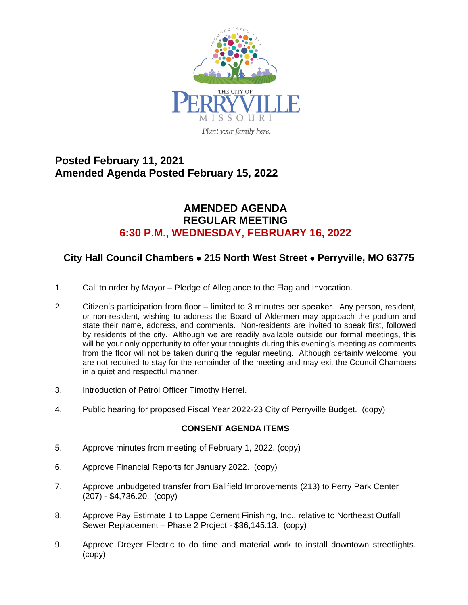

# **Posted February 11, 2021 Amended Agenda Posted February 15, 2022**

### **AMENDED AGENDA REGULAR MEETING 6:30 P.M., WEDNESDAY, FEBRUARY 16, 2022**

## **City Hall Council Chambers** · **215 North West Street** · **Perryville, MO 63775**

- 1. Call to order by Mayor Pledge of Allegiance to the Flag and Invocation.
- 2. Citizen's participation from floor limited to 3 minutes per speaker. Any person, resident, or non-resident, wishing to address the Board of Aldermen may approach the podium and state their name, address, and comments. Non-residents are invited to speak first, followed by residents of the city. Although we are readily available outside our formal meetings, this will be your only opportunity to offer your thoughts during this evening's meeting as comments from the floor will not be taken during the regular meeting. Although certainly welcome, you are not required to stay for the remainder of the meeting and may exit the Council Chambers in a quiet and respectful manner.
- 3. Introduction of Patrol Officer Timothy Herrel.
- 4. Public hearing for proposed Fiscal Year 2022-23 City of Perryville Budget. (copy)

#### **CONSENT AGENDA ITEMS**

- 5. Approve minutes from meeting of February 1, 2022. (copy)
- 6. Approve Financial Reports for January 2022. (copy)
- 7. Approve unbudgeted transfer from Ballfield Improvements (213) to Perry Park Center (207) - \$4,736.20. (copy)
- 8. Approve Pay Estimate 1 to Lappe Cement Finishing, Inc., relative to Northeast Outfall Sewer Replacement – Phase 2 Project - \$36,145.13. (copy)
- 9. Approve Dreyer Electric to do time and material work to install downtown streetlights. (copy)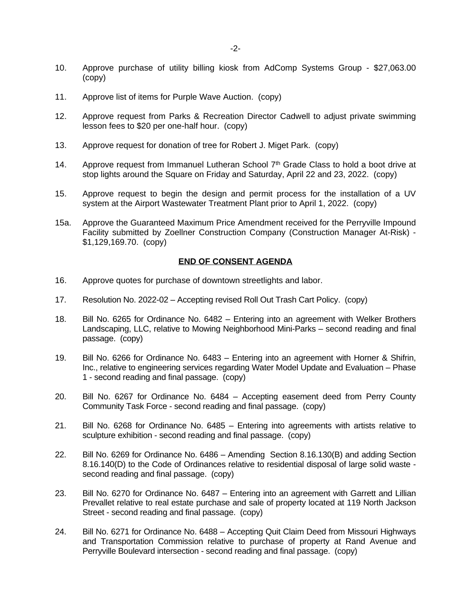- 10. Approve purchase of utility billing kiosk from AdComp Systems Group \$27,063.00 (copy)
- 11. Approve list of items for Purple Wave Auction. (copy)
- 12. Approve request from Parks & Recreation Director Cadwell to adjust private swimming lesson fees to \$20 per one-half hour. (copy)
- 13. Approve request for donation of tree for Robert J. Miget Park. (copy)
- 14. Approve request from Immanuel Lutheran School 7<sup>th</sup> Grade Class to hold a boot drive at stop lights around the Square on Friday and Saturday, April 22 and 23, 2022. (copy)
- 15. Approve request to begin the design and permit process for the installation of a UV system at the Airport Wastewater Treatment Plant prior to April 1, 2022. (copy)
- 15a. Approve the Guaranteed Maximum Price Amendment received for the Perryville Impound Facility submitted by Zoellner Construction Company (Construction Manager At-Risk) - \$1,129,169.70. (copy)

#### **END OF CONSENT AGENDA**

- 16. Approve quotes for purchase of downtown streetlights and labor.
- 17. Resolution No. 2022-02 Accepting revised Roll Out Trash Cart Policy. (copy)
- 18. Bill No. 6265 for Ordinance No. 6482 Entering into an agreement with Welker Brothers Landscaping, LLC, relative to Mowing Neighborhood Mini-Parks – second reading and final passage. (copy)
- 19. Bill No. 6266 for Ordinance No. 6483 Entering into an agreement with Horner & Shifrin, Inc., relative to engineering services regarding Water Model Update and Evaluation – Phase 1 - second reading and final passage. (copy)
- 20. Bill No. 6267 for Ordinance No. 6484 Accepting easement deed from Perry County Community Task Force - second reading and final passage. (copy)
- 21. Bill No. 6268 for Ordinance No. 6485 Entering into agreements with artists relative to sculpture exhibition - second reading and final passage. (copy)
- 22. Bill No. 6269 for Ordinance No. 6486 Amending Section 8.16.130(B) and adding Section 8.16.140(D) to the Code of Ordinances relative to residential disposal of large solid waste second reading and final passage. (copy)
- 23. Bill No. 6270 for Ordinance No. 6487 Entering into an agreement with Garrett and Lillian Prevallet relative to real estate purchase and sale of property located at 119 North Jackson Street - second reading and final passage. (copy)
- 24. Bill No. 6271 for Ordinance No. 6488 Accepting Quit Claim Deed from Missouri Highways and Transportation Commission relative to purchase of property at Rand Avenue and Perryville Boulevard intersection - second reading and final passage. (copy)